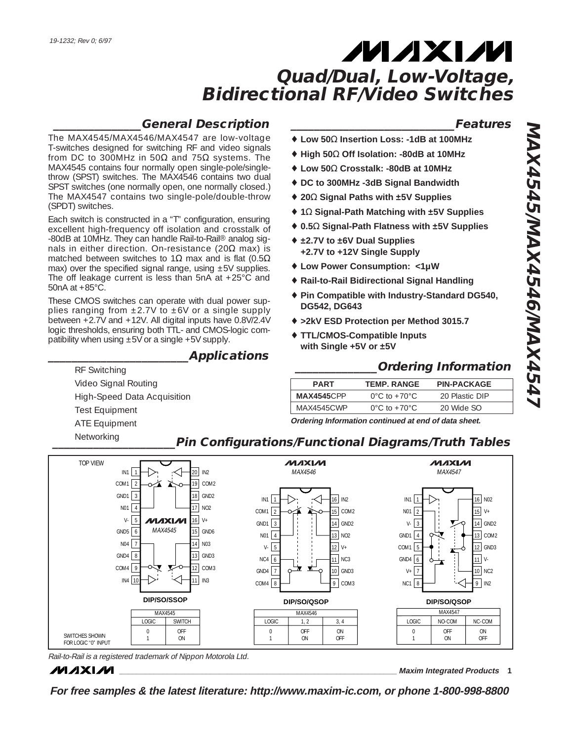### **\_\_\_\_\_\_\_\_\_\_\_\_\_\_\_General Description**

The MAX4545/MAX4546/MAX4547 are low-voltage T-switches designed for switching RF and video signals from DC to 300MHz in 50 $\Omega$  and 75 $\Omega$  systems. The MAX4545 contains four normally open single-pole/singlethrow (SPST) switches. The MAX4546 contains two dual SPST switches (one normally open, one normally closed.) The MAX4547 contains two single-pole/double-throw (SPDT) switches.

Each switch is constructed in a "T" configuration, ensuring excellent high-frequency off isolation and crosstalk of -80dB at 10MHz. They can handle Rail-to-Rail® analog signals in either direction. On-resistance (20 $\Omega$  max) is matched between switches to 1 $\Omega$  max and is flat (0.5 $\Omega$ ) max) over the specified signal range, using  $\pm 5V$  supplies. The off leakage current is less than 5nA at +25°C and 50nA at +85°C.

These CMOS switches can operate with dual power supplies ranging from  $\pm 2.7V$  to  $\pm 6V$  or a single supply between +2.7V and +12V. All digital inputs have 0.8V/2.4V logic thresholds, ensuring both TTL- and CMOS-logic compatibility when using  $\pm 5V$  or a single  $+5V$  supply.

### **\_\_\_\_\_\_\_\_\_\_\_\_\_\_\_\_\_\_\_\_\_\_\_\_Applications**

### **\_\_\_\_\_\_\_\_\_\_\_\_\_\_\_\_\_\_\_\_\_\_\_\_\_\_\_\_Features**

- ♦ **Low 50**Ω **Insertion Loss: -1dB at 100MHz**
- ♦ **High 50**Ω **Off Isolation: -80dB at 10MHz**
- ♦ **Low 50**Ω **Crosstalk: -80dB at 10MHz**
- ♦ **DC to 300MHz -3dB Signal Bandwidth**
- ♦ **20**Ω **Signal Paths with ±5V Supplies**
- ♦ **1**Ω **Signal-Path Matching with ±5V Supplies**
- ♦ **0.5**Ω **Signal-Path Flatness with ±5V Supplies**
- ♦ **±2.7V to ±6V Dual Supplies +2.7V to +12V Single Supply**
- ♦ **Low Power Consumption: <1µW**
- ♦ **Rail-to-Rail Bidirectional Signal Handling**
- ♦ **Pin Compatible with Industry-Standard DG540, DG542, DG643**
- ♦ **>2kV ESD Protection per Method 3015.7**
- **TTL/CMOS-Compatible Inputs with Single +5V or ±5V**

### **\_\_\_\_\_\_\_\_\_\_\_\_\_\_Ordering Information**

| <b>PART</b> | <b>TEMP. RANGE</b>                   | <b>PIN-PACKAGE</b> |
|-------------|--------------------------------------|--------------------|
| MAX4545CPP  | $0^{\circ}$ C to +70 $^{\circ}$ C is | 20 Plastic DIP     |
| MAX4545CWP  | $0^{\circ}$ C to +70 $^{\circ}$ C    | 20 Wide SO         |

**Ordering Information continued at end of data sheet.**

Video Signal Routing High-Speed Data Acquisition Test Equipment ATE Equipment Networking

RF Switching

## **\_\_\_\_\_\_\_\_\_\_\_\_\_\_\_\_\_\_\_\_\_Pin Configurations/Functional Diagrams/Truth Tables**



Rail-to-Rail is a registered trademark of Nippon Motorola Ltd.

**MAXM** 

**\_\_\_\_\_\_\_\_\_\_\_\_\_\_\_\_\_\_\_\_\_\_\_\_\_\_\_\_\_\_\_\_\_\_\_\_\_\_\_\_\_\_\_\_\_\_\_\_\_\_\_\_\_\_\_\_\_\_\_\_\_\_\_\_ Maxim Integrated Products 1**

**For free samples & the latest literature: http://www.maxim-ic.com, or phone 1-800-998-8800**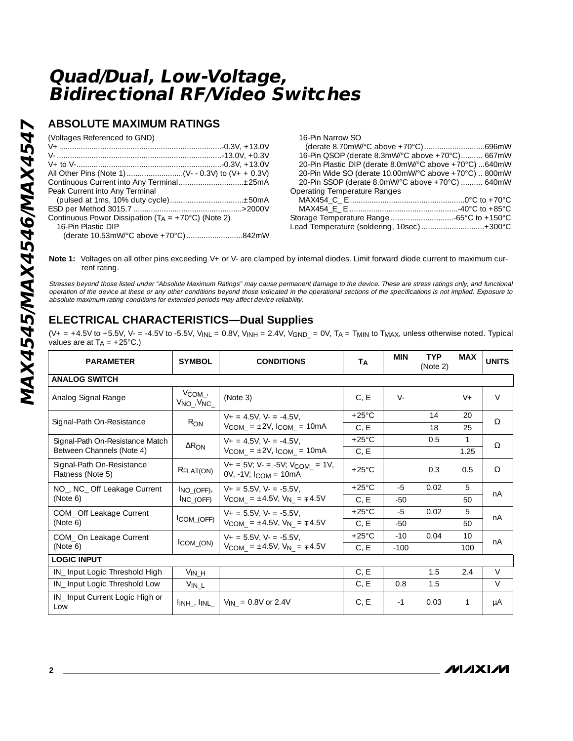### **ABSOLUTE MAXIMUM RATINGS**

(Voltages Referenced to GND)

| Peak Current into Any Terminal                                |  |
|---------------------------------------------------------------|--|
|                                                               |  |
|                                                               |  |
| Continuous Power Dissipation ( $TA = +70^{\circ}C$ ) (Note 2) |  |
| 16-Pin Plastic DIP                                            |  |
|                                                               |  |
|                                                               |  |

16-Pin Narrow SO (derate 8.70mW/°C above +70°C)............................696mW 16-Pin QSOP (derate 8.3mW/°C above +70°C).......... 667mW 20-Pin Plastic DIP (derate 8.0mW/°C above +70°C) ...640mW 20-Pin Wide SO (derate 10.00mW/°C above +70°C) .. 800mW 20-Pin SSOP (derate 8.0mW/°C above +70°C) .......... 640mW Operating Temperature Ranges MAX454\_C\_ E ..................................................... 0°C to +70° C MAX454\_E\_ E ..................................................-40°C to +85 ° C Storage Temperature Range .............................-65 °C to +150° C Lead Temperature (soldering, 10sec) .............................+300° C

Note 1: Voltages on all other pins exceeding V+ or V- are clamped by internal diodes. Limit forward diode current to maximum current rating.

Stresses beyond those listed under "Absolute Maximum Ratings" may cause permanent damage to the device. These are stress ratings only, and functional operation of the device at these or any other conditions beyond those indicated in the operational sections of the specifications is not implied. Exposure to absolute maximum rating conditions for extended periods may affect device reliability.

### **ELECTRICAL CHARACTERISTICS—Dual Supplies**

(V+ = +4.5V to +5.5V, V- = -4.5V to -5.5V, V<sub>INL</sub> = 0.8V, V<sub>INH</sub> = 2.4V, V<sub>GND</sub> = 0V, T<sub>A</sub> = T<sub>MIN</sub> to T<sub>MAX</sub>, unless otherwise noted. Typical values are at  $T_A = +25^{\circ}C$ .)

| <b>PARAMETER</b>                                      | <b>SYMBOL</b>                                           | <b>CONDITIONS</b>                                                        | TA              | <b>MIN</b> | <b>TYP</b><br>(Note 2) | <b>MAX</b>   | <b>UNITS</b> |
|-------------------------------------------------------|---------------------------------------------------------|--------------------------------------------------------------------------|-----------------|------------|------------------------|--------------|--------------|
| <b>ANALOG SWITCH</b>                                  |                                                         |                                                                          |                 |            |                        |              |              |
| Analog Signal Range                                   | $V_{COM_{\perp}}$<br>$V_{NO}$ , $V_{NC}$                | (Note 3)                                                                 | C, E            | $V -$      |                        | $V +$        | $\vee$       |
| Signal-Path On-Resistance                             | $R_{ON}$                                                | $V_+ = 4.5V$ , $V_- = -4.5V$ .                                           | $+25^{\circ}$ C |            | 14                     | 20           | Ω            |
|                                                       |                                                         | $V_{COM}$ = $\pm 2V$ , $I_{COM}$ = 10mA                                  | C, E            |            | 18                     | 25           |              |
| Signal-Path On-Resistance Match                       | $\Delta$ R <sub>ON</sub>                                | $V_+ = 4.5V$ , $V_- = -4.5V$ .                                           | $+25^{\circ}$ C |            | 0.5                    | $\mathbf{1}$ | Ω            |
| Between Channels (Note 4)                             |                                                         | $V_{COM}$ = $\pm 2V$ , $I_{COM}$ = 10mA                                  | C, E            |            |                        | 1.25         |              |
| Signal-Path On-Resistance<br>Flatness (Note 5)        | RFLAT(ON)                                               | $V_+ = 5V$ ; $V_- = -5V$ ; $V_{COM} = 1V$ ,<br>$OV, -1V; I_{COM} = 10mA$ | $+25^{\circ}$ C |            | 0.3                    | 0.5          | Ω            |
| NO <sub>-</sub> , NC <sub>-</sub> Off Leakage Current | $I_{NO}$ (OFF),                                         | $V_+ = 5.5V$ . $V_- = -5.5V$ .                                           | $+25^{\circ}$ C | $-5$       | 0.02                   | 5            | nA           |
| (Note 6)                                              | INC (OFF)                                               | $V_{COM}$ = ±4.5V, $V_{N}$ = $\mp$ 4.5V                                  | C, E            | $-50$      |                        | 50           |              |
| COM_Off Leakage Current                               |                                                         | $V_+ = 5.5V$ . $V_- = -5.5V$ .                                           | $+25^{\circ}$ C | $-5$       | 0.02                   | 5            | nA           |
| (Note 6)                                              | $\mathsf{ICOM}_\mathsf{LOFF}$                           | $V_{COM}$ = ±4.5V, $V_N$ = $\mp$ 4.5V                                    | C, E            | $-50$      |                        | 50           |              |
| COM_On Leakage Current                                |                                                         | $V_+ = 5.5V$ . $V_- = -5.5V$ .                                           | $+25^{\circ}$ C | $-10$      | 0.04                   | 10           | nA           |
| (Note 6)                                              | $ICOM_$ (ON)                                            | $V_{COM}$ = ±4.5V, $V_N$ = $\mp$ 4.5V                                    | C, E            | $-100$     |                        | 100          |              |
| <b>LOGIC INPUT</b>                                    |                                                         |                                                                          |                 |            |                        |              |              |
| IN_Input Logic Threshold High                         | $V_{IN\_H}$                                             |                                                                          | C, E            |            | 1.5                    | 2.4          | $\vee$       |
| IN_Input Logic Threshold Low                          | $V_{IN\_L}$                                             |                                                                          | C, E            | 0.8        | 1.5                    |              | $\vee$       |
| IN_Input Current Logic High or<br>Low                 | $\mathsf{In}_{\mathsf{H}}$ , $\mathsf{In}_{\mathsf{H}}$ | $V_{IN}$ = 0.8V or 2.4V                                                  | C, E            | $-1$       | 0.03                   | 1            | μA           |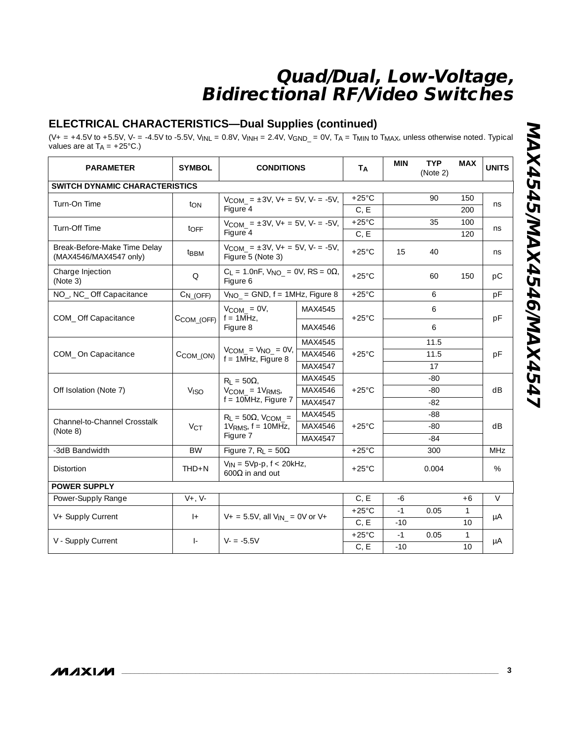### **ELECTRICAL CHARACTERISTICS—Dual Supplies (continued)**

(V+ = +4.5V to +5.5V, V- = -4.5V to -5.5V, V<sub>INL</sub> = 0.8V, V<sub>INH</sub> = 2.4V, V<sub>GND</sub> = 0V, T<sub>A</sub> = T<sub>MIN</sub> to T<sub>MAX</sub>, unless otherwise noted. Typical values are at  $T_A = +25^{\circ}C$ .)

| <b>PARAMETER</b>                                       | <b>SYMBOL</b>                         | <b>CONDITIONS</b>                                                    |         | TA              | <b>MIN</b>      | <b>TYP</b><br>(Note 2) | <b>MAX</b>   | <b>UNITS</b> |    |  |
|--------------------------------------------------------|---------------------------------------|----------------------------------------------------------------------|---------|-----------------|-----------------|------------------------|--------------|--------------|----|--|
|                                                        | <b>SWITCH DYNAMIC CHARACTERISTICS</b> |                                                                      |         |                 |                 |                        |              |              |    |  |
| Turn-On Time                                           | ton                                   | $V_{COM} = \pm 3V$ , $V_+ = 5V$ , $V_- = -5V$ ,                      |         | $+25^{\circ}$ C |                 | 90                     | 150          | ns           |    |  |
|                                                        |                                       | Figure 4                                                             |         | C, E            |                 |                        | 200          |              |    |  |
| Turn-Off Time                                          | toFF                                  | $V_{COM}$ = $\pm 3V$ , $V_+$ = 5V, $V_-$ = -5V,                      |         | $+25^{\circ}$ C |                 | 35                     | 100          | ns           |    |  |
|                                                        |                                       | Figure 4                                                             |         | C, E            |                 |                        | 120          |              |    |  |
| Break-Before-Make Time Delay<br>(MAX4546/MAX4547 only) | <b>t</b> <sub>BBM</sub>               | $V_{COM} = \pm 3V$ , $V_+ = 5V$ , $V_- = -5V$ ,<br>Figure 5 (Note 3) |         | $+25^{\circ}$ C | 15              | 40                     |              | ns           |    |  |
| Charge Injection<br>(Note 3)                           | Q                                     | $C_L = 1.0$ nF, $V_{NO} = 0V$ , RS = 0 $\Omega$ ,<br>Figure 6        |         | $+25^{\circ}$ C |                 | 60                     | 150          | pC           |    |  |
| NO_, NC_ Off Capacitance                               | $C_{N_{-}(OFF)}$                      | $V_{NO}$ = GND, $f = 1MHz$ , Figure 8                                |         | $+25^{\circ}$ C |                 | 6                      |              | pF           |    |  |
| COM_Off Capacitance                                    | $C$ COM_(OFF)                         | $V_{COM} = 0V$ ,<br>$f = 1$ MHz.                                     | MAX4545 | $+25^{\circ}$ C |                 | 6                      |              |              |    |  |
|                                                        |                                       | Figure 8                                                             | MAX4546 |                 |                 | 6                      |              | pF           |    |  |
|                                                        | CCOM_(ON)                             | $V_{COM} = V_{NO} = 0V$ ,<br>$f = 1$ MHz, Figure 8                   | MAX4545 | $+25^{\circ}$ C |                 | 11.5                   |              |              |    |  |
| COM_On Capacitance                                     |                                       |                                                                      | MAX4546 |                 |                 | 11.5                   |              | pF           |    |  |
|                                                        |                                       |                                                                      | MAX4547 |                 |                 | 17                     |              |              |    |  |
|                                                        |                                       | $R_1 = 50\Omega$                                                     | MAX4545 |                 |                 | $-80$                  |              |              |    |  |
| Off Isolation (Note 7)                                 | <b>V<sub>ISO</sub></b>                | $V_{COM} = 1V_{RMS}$                                                 | MAX4546 | $+25^{\circ}$ C |                 | $-80$                  |              | dB           |    |  |
|                                                        |                                       | $f = 10$ MHz, Figure 7                                               | MAX4547 |                 | $-82$           |                        |              |              |    |  |
|                                                        |                                       | $R_L = 50\Omega$ , V <sub>COM</sub> =                                | MAX4545 |                 |                 | $-88$                  |              |              |    |  |
| Channel-to-Channel Crosstalk<br>(Note 8)               | $V_{CT}$                              | $1V_{RMS}$ , f = 10MHz,                                              |         | MAX4546         | $+25^{\circ}$ C |                        | $-80$        |              | dB |  |
|                                                        |                                       | Figure 7                                                             | MAX4547 |                 | $-84$           |                        |              |              |    |  |
| -3dB Bandwidth                                         | <b>BW</b>                             | Figure 7, $R_L = 50\Omega$                                           |         | $+25^{\circ}$ C |                 | 300                    |              | <b>MHz</b>   |    |  |
| <b>Distortion</b>                                      | $THD + N$                             | $V_{IN}$ = 5Vp-p, $f < 20kHz$ ,<br>600 $\Omega$ in and out           |         | $+25^{\circ}$ C |                 | 0.004                  |              | %            |    |  |
| <b>POWER SUPPLY</b>                                    |                                       |                                                                      |         |                 |                 |                        |              |              |    |  |
| Power-Supply Range                                     | $V+$ , $V-$                           |                                                                      |         | C, E            | -6              |                        | $+6$         | V            |    |  |
|                                                        | $ +$                                  | $V_+$ = 5.5V, all $V_{IN_-}$ = 0V or V+                              |         | $+25^{\circ}$ C | $-1$            | 0.05                   | $\mathbf{1}$ |              |    |  |
| V+ Supply Current                                      |                                       |                                                                      |         | C, E            | $-10$           |                        | 10           | μA           |    |  |
| V - Supply Current                                     | $\vert$                               | $V - = -5.5V$                                                        |         | $+25^{\circ}$ C | $-1$            | 0.05                   | $\mathbf{1}$ |              |    |  |
|                                                        |                                       |                                                                      |         | C, E            | $-10$           |                        | 10           | μA           |    |  |

**\_\_\_\_\_\_\_\_\_\_\_\_\_\_\_\_\_\_\_\_\_\_\_\_\_\_\_\_\_\_\_\_\_\_\_\_\_\_\_\_\_\_\_\_\_\_\_\_\_\_\_\_\_\_\_\_\_\_\_\_\_\_\_\_\_\_\_\_\_\_\_\_\_\_\_\_\_\_\_\_\_\_\_\_\_\_\_**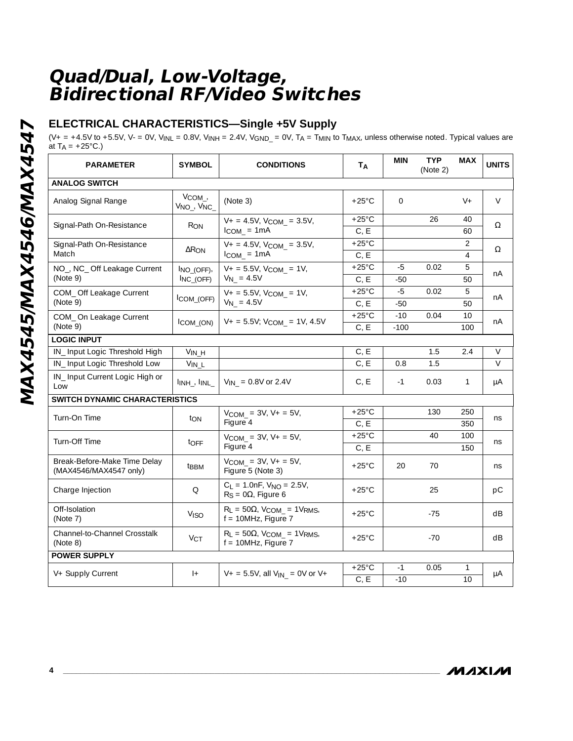### **ELECTRICAL CHARACTERISTICS—Single +5V Supply**

( $V_+$  = +4.5V to +5.5V,  $V_-=0V$ ,  $V_{INL}$  = 0.8V,  $V_{INH}$  = 2.4V,  $V_{GND_-}$  = 0V, TA = T<sub>MIN</sub> to T<sub>MAX</sub>, unless otherwise noted. Typical values are at T<sub>A</sub> =  $+25^{\circ}$ C.)

|                                                        | <b>SYMBOL</b>                                             | <b>CONDITIONS</b>                                                   | TA                      | <b>MIN</b>   | <b>TYP</b><br>(Note 2) | <b>MAX</b>     | <b>UNITS</b> |
|--------------------------------------------------------|-----------------------------------------------------------|---------------------------------------------------------------------|-------------------------|--------------|------------------------|----------------|--------------|
| <b>ANALOG SWITCH</b>                                   |                                                           |                                                                     |                         |              |                        |                |              |
| Analog Signal Range                                    | $V_{COM_{\prime}}$<br>$V_{NO_-}$ , $V_{NC_-}$             | (Note 3)                                                            | $+25^{\circ}$ C         | $\mathbf{0}$ |                        | $V +$          | V            |
| Signal-Path On-Resistance                              | R <sub>ON</sub>                                           | $V_+ = 4.5V$ , $V_{COM_-} = 3.5V$ ,<br>$I_{COM_} = 1mA$             | $+25^{\circ}$ C<br>C, E |              | 26                     | 40<br>60       | $\Omega$     |
| Signal-Path On-Resistance                              |                                                           | $V_+ = 4.5V$ , $V_{COM_-} = 3.5V$ ,                                 | $+25^{\circ}$ C         |              |                        | 2              |              |
| Match                                                  | $\Delta$ R <sub>ON</sub>                                  | $I_{COM} = 1mA$                                                     | C, E                    |              |                        | $\overline{4}$ | $\Omega$     |
| NO_, NC_ Off Leakage Current<br>(Note 9)               | $INO(OFF)$ ,<br>$I_{NC_$ OFF)                             | $V_+ = 5.5V$ , $V_{COM} = 1V$ ,<br>$V_N = 4.5V$                     | $+25^{\circ}$ C<br>C, E | -5<br>$-50$  | 0.02                   | 5<br>50        | nA           |
|                                                        |                                                           |                                                                     | $+25^{\circ}$ C         | $-5$         | 0.02                   | 5              |              |
| COM_ Off Leakage Current<br>(Note 9)                   | ICOM_(OFF)                                                | $V_+ = 5.5V$ , $V_{COM} = 1V$ ,<br>$V_N = 4.5V$                     | C, E                    | $-50$        |                        | 50             | nA           |
| COM_On Leakage Current                                 |                                                           |                                                                     | $+25^{\circ}$ C         | $-10$        | 0.04                   | 10             |              |
| (Note 9)                                               | $I_{COM_ (ON)}$                                           | $V_+ = 5.5V$ ; $V_{COM_-} = 1V$ , 4.5V                              | C, E                    | $-100$       |                        | 100            | nA           |
| <b>LOGIC INPUT</b>                                     |                                                           |                                                                     |                         |              |                        |                |              |
| IN_Input Logic Threshold High                          | $V_{IN\_H}$                                               |                                                                     | C, E                    |              | 1.5                    | 2.4            | V            |
| IN_Input Logic Threshold Low                           | $V_{IN\_L}$                                               |                                                                     | C, E                    | 0.8          | 1.5                    |                | $\vee$       |
| IN_Input Current Logic High or<br>Low                  | $\mathsf{I_{INH\_}, I_{INL\_}}$                           | $V_{1N_{-}}$ = 0.8V or 2.4V                                         | C, E                    | $-1$         | 0.03                   | 1              | μA           |
| SWITCH DYNAMIC CHARACTERISTICS                         |                                                           |                                                                     |                         |              |                        |                |              |
| Turn-On Time                                           |                                                           | $V_{COM} = 3V, V + 5V,$<br>Figure 4                                 | $+25^{\circ}$ C         |              | 130                    | 250            |              |
|                                                        | ton                                                       |                                                                     | C, E                    |              |                        | 350            | ns           |
| Turn-Off Time                                          | $V_{COM} = 3V, V + = 5V,$<br>t <sub>OFF</sub><br>Figure 4 |                                                                     | $+25^{\circ}$ C         |              | 40                     | 100            | ns           |
|                                                        |                                                           | C, E                                                                |                         |              | 150                    |                |              |
| Break-Before-Make Time Delay<br>(MAX4546/MAX4547 only) | t <sub>BBM</sub>                                          | $V_{COM}$ = 3V, V + = 5V,<br>Figure 5 (Note 3)                      | $+25^{\circ}$ C         | 20           | 70                     |                | ns           |
| Charge Injection                                       | Q                                                         | $C_L = 1.0$ nF, $V_{NO} = 2.5V$ ,<br>$R_S = 0\Omega$ , Figure 6     | $+25^{\circ}$ C         |              | 25                     |                | pC           |
| Off-Isolation<br>(Note 7)                              | <b>V<sub>ISO</sub></b>                                    | $R_L = 50\Omega$ , $V_{COM} = 1V_{RMS}$ ,<br>$f = 10MHz$ , Figure 7 | $+25^{\circ}$ C         |              | $-75$                  |                | dB           |
| Channel-to-Channel Crosstalk<br>(Note 8)               | V <sub>CT</sub>                                           | $R_L = 50\Omega$ , $V_{COM} = 1V_{RMS}$ ,<br>$f = 10MHz$ , Figure 7 | $+25^{\circ}$ C         |              | $-70$                  |                | dB           |
| <b>POWER SUPPLY</b>                                    |                                                           |                                                                     |                         |              |                        |                |              |
|                                                        |                                                           |                                                                     | $+25^{\circ}$ C         | $-1$         | 0.05                   | 1              |              |
| V+ Supply Current                                      | $ +$                                                      | $V_+$ = 5.5V, all $V_{1N_-}$ = 0V or V+                             | C, E                    | $-10$        |                        | 10             | μA           |

**MAXM**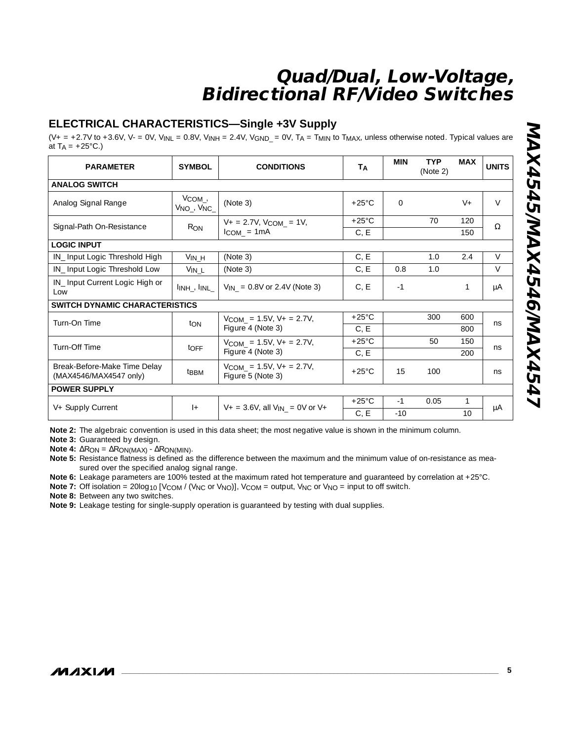### **ELECTRICAL CHARACTERISTICS—Single +3V Supply**

 $(V_+ = +2.7V$  to  $+3.6V$ ,  $V_-= 0V$ ,  $V_{INL} = 0.8V$ ,  $V_{INH} = 2.4V$ ,  $V_{GND_-} = 0V$ ,  $T_A = T_{MIN}$  to  $T_{MAX}$ , unless otherwise noted. Typical values are at  $T_A = +25$ °C.)

| <b>PARAMETER</b>                                       | <b>SYMBOL</b>                                             | <b>CONDITIONS</b>                                  | <b>Т</b> д      | <b>MIN</b> | <b>TYP</b><br>(Note 2) | <b>MAX</b> | <b>UNITS</b> |  |
|--------------------------------------------------------|-----------------------------------------------------------|----------------------------------------------------|-----------------|------------|------------------------|------------|--------------|--|
| <b>ANALOG SWITCH</b>                                   |                                                           |                                                    |                 |            |                        |            |              |  |
| Analog Signal Range                                    | $V_{COM_{\perp'}}$<br>V <sub>NO_</sub> , V <sub>NC_</sub> | (Note 3)                                           | $+25^{\circ}$ C | $\Omega$   |                        | $V +$      | $\vee$       |  |
| Signal-Path On-Resistance                              | $R_{ON}$                                                  | $V_+ = 2.7V$ , $V_{COM} = 1V$ ,                    | $+25^{\circ}$ C |            | 70                     | 120        | $\Omega$     |  |
|                                                        |                                                           | $I_{COM} = 1mA$                                    | C, E            |            |                        | 150        |              |  |
| <b>LOGIC INPUT</b>                                     |                                                           |                                                    |                 |            |                        |            |              |  |
| IN_Input Logic Threshold High                          | $V_{IN_H}$                                                | (Note 3)                                           | C, E            |            | 1.0                    | 2.4        | $\vee$       |  |
| IN_Input Logic Threshold Low                           | $V_{IN\_L}$                                               | (Note 3)                                           | C, E            | 0.8        | 1.0                    |            | $\vee$       |  |
| IN_Input Current Logic High or<br>Low                  | $\mathsf{I_{INH\_}}$ , $\mathsf{I_{INL\_}}$               | $V_{IN}$ = 0.8V or 2.4V (Note 3)                   | C, E            | $-1$       |                        | 1          | μA           |  |
| <b>SWITCH DYNAMIC CHARACTERISTICS</b>                  |                                                           |                                                    |                 |            |                        |            |              |  |
| Turn-On Time                                           | ton                                                       | $V_{COM}$ = 1.5V, V + = 2.7V,                      | $+25^{\circ}$ C |            | 300                    | 600        | ns           |  |
|                                                        |                                                           | Figure 4 (Note 3)                                  | C, E            |            |                        | 800        |              |  |
| Turn-Off Time                                          |                                                           | $V_{COM}$ = 1.5V, V + = 2.7V,                      | $+25^{\circ}$ C |            | 50                     | 150        |              |  |
|                                                        | $t$ OFF                                                   | Figure 4 (Note 3)                                  | C, E            |            |                        | 200        | ns           |  |
| Break-Before-Make Time Delay<br>(MAX4546/MAX4547 only) | t <sub>BBM</sub>                                          | $V_{COM}$ = 1.5V, V + = 2.7V,<br>Figure 5 (Note 3) | $+25^{\circ}$ C | 15         | 100                    |            | ns           |  |
| <b>POWER SUPPLY</b>                                    |                                                           |                                                    |                 |            |                        |            |              |  |
|                                                        | $ + $                                                     | $V_+ = 3.6V$ , all $V_{IN} = 0V$ or $V_+$          | $+25^{\circ}$ C | $-1$       | 0.05                   |            |              |  |
| V+ Supply Current                                      |                                                           |                                                    | C, E            | $-10$      |                        | 10         | μA           |  |

**Note 2:** The algebraic convention is used in this data sheet; the most negative value is shown in the minimum column.

**Note 3:** Guaranteed by design.

**Note 4:** ∆RON = ∆RON(MAX) - ∆RON(MIN).

**Note 5:** Resistance flatness is defined as the difference between the maximum and the minimum value of on-resistance as measured over the specified analog signal range.

**Note 6:** Leakage parameters are 100% tested at the maximum rated hot temperature and guaranteed by correlation at +25°C.

**Note 7:** Off isolation = 20log<sub>10</sub> [V<sub>COM</sub> / (V<sub>NC</sub> or V<sub>NO</sub>)], V<sub>COM</sub> = output, V<sub>NC</sub> or V<sub>NO</sub> = input to off switch.

**Note 8:** Between any two switches.

**Note 9:** Leakage testing for single-supply operation is guaranteed by testing with dual supplies.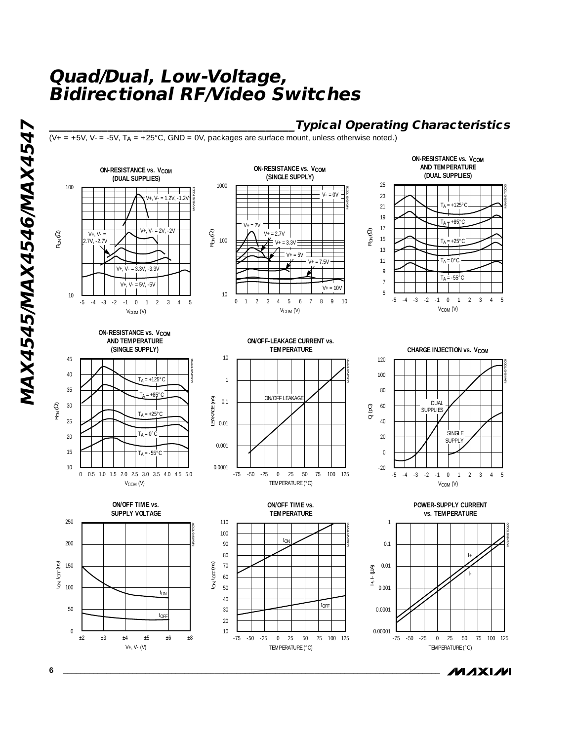## **\_\_\_\_\_\_\_\_\_\_\_\_\_\_\_\_\_\_\_\_\_\_\_\_\_\_\_\_\_\_\_\_\_\_\_\_\_\_\_\_\_\_Typical Operating Characteristics**

**ON-RESISTANCE vs. V<sub>COM</sub> AND TEMPERATURE**

MAX4545 TOC09

( $V_+$  = +5V,  $V_-=$  -5V,  $T_A$  = +25°C, GND = 0V, packages are surface mount, unless otherwise noted.)

100 10 -5 -4 -3 -2 -1 **ON-RESISTANCE vs. V<sub>COM</sub>** RON (Ω)  $V_{+}$ ,  $V_{-}$ 2.7V, -2.7V 20 25 30 40 35 45 RON (Ω)



**ON-RESISTANCE vs. V<sub>COM</sub>** 

tON, tOFF (ns)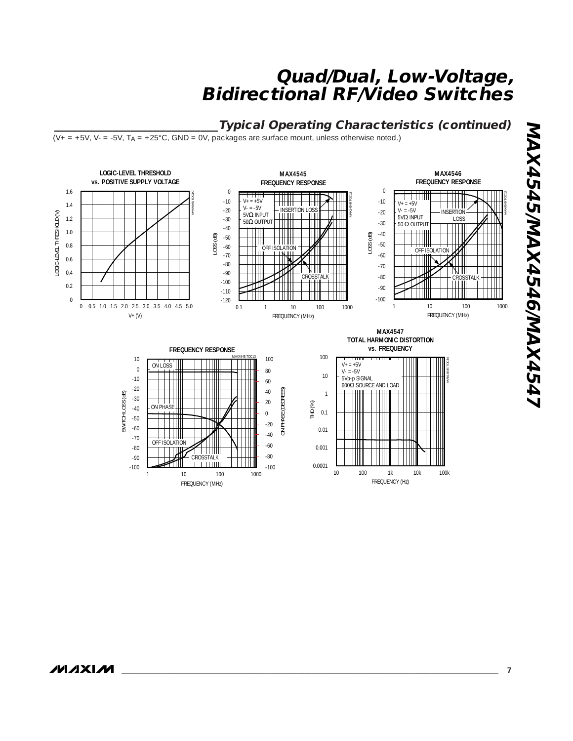### **\_\_\_\_\_\_\_\_\_\_\_\_\_\_\_\_\_\_\_\_\_\_\_\_\_\_\_\_Typical Operating Characteristics (continued)**

 $(V_+ = +5V, V_-= -5V, T_A = +25^{\circ}C, GND = 0V,$  packages are surface mount, unless otherwise noted.)

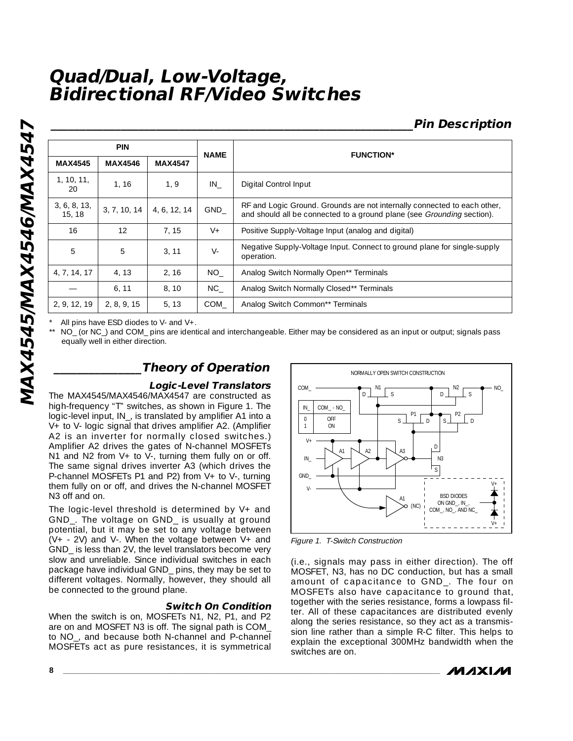## **\_\_\_\_\_\_\_\_\_\_\_\_\_\_\_\_\_\_\_\_\_\_\_\_\_\_\_\_\_\_\_\_\_\_\_\_\_\_\_\_\_\_\_\_\_\_\_\_\_\_\_\_\_\_\_\_\_\_\_\_\_\_Pin Description**

|                        | <b>PIN</b>     |                | <b>NAME</b> | <b>FUNCTION*</b>                                                                                                                                          |  |
|------------------------|----------------|----------------|-------------|-----------------------------------------------------------------------------------------------------------------------------------------------------------|--|
| <b>MAX4545</b>         | <b>MAX4546</b> | <b>MAX4547</b> |             |                                                                                                                                                           |  |
| 1, 10, 11,<br>20       | 1, 16          | 1, 9           | IN          | Digital Control Input                                                                                                                                     |  |
| 3, 6, 8, 13,<br>15, 18 | 3, 7, 10, 14   | 4, 6, 12, 14   | GND         | RF and Logic Ground. Grounds are not internally connected to each other,<br>and should all be connected to a ground plane (see <i>Grounding</i> section). |  |
| 16                     | 12             | 7.15           | $V +$       | Positive Supply-Voltage Input (analog and digital)                                                                                                        |  |
| 5                      | 5              | 3.11           | $V -$       | Negative Supply-Voltage Input. Connect to ground plane for single-supply<br>operation.                                                                    |  |
| 4, 7, 14, 17           | 4, 13          | 2, 16          | NO .        | Analog Switch Normally Open** Terminals                                                                                                                   |  |
|                        | 6, 11          | 8.10           | NC .        | Analog Switch Normally Closed** Terminals                                                                                                                 |  |
| 2, 9, 12, 19           | 2, 8, 9, 15    | 5, 13          | COM         | Analog Switch Common** Terminals                                                                                                                          |  |

All pins have ESD diodes to V- and  $V_{+}$ .

NO\_ (or NC\_) and COM\_ pins are identical and interchangeable. Either may be considered as an input or output; signals pass equally well in either direction.

### **\_\_\_\_\_\_\_\_\_\_\_\_\_\_\_Theory of Operation**

#### **Logic-Level Translators**

The MAX4545/MAX4546/MAX4547 are constructed as high-frequency "T" switches, as shown in Figure 1. The logic-level input, IN\_, is translated by amplifier A1 into a V+ to V- logic signal that drives amplifier A2. (Amplifier A2 is an inverter for normally closed switches.) Amplifier A2 drives the gates of N-channel MOSFETs N1 and N2 from V+ to V-, turning them fully on or off. The same signal drives inverter A3 (which drives the P-channel MOSFETs P1 and P2) from V+ to V-, turning them fully on or off, and drives the N-channel MOSFET N3 off and on.

The logic-level threshold is determined by V+ and GND\_. The voltage on GND\_ is usually at ground potential, but it may be set to any voltage between  $(V + - 2V)$  and V-. When the voltage between V+ and GND\_ is less than 2V, the level translators become very slow and unreliable. Since individual switches in each package have individual GND\_ pins, they may be set to different voltages. Normally, however, they should all be connected to the ground plane.

#### **Switch On Condition**

When the switch is on, MOSFETs N1, N2, P1, and P2 are on and MOSFET N3 is off. The signal path is COM\_ to NO\_, and because both N-channel and P-channel MOSFETs act as pure resistances, it is symmetrical



Figure 1. T-Switch Construction

(i.e., signals may pass in either direction). The off MOSFET, N3, has no DC conduction, but has a small amount of capacitance to GND\_. The four on MOSFETs also have capacitance to ground that, together with the series resistance, forms a lowpass filter. All of these capacitances are distributed evenly along the series resistance, so they act as a transmission line rather than a simple R-C filter. This helps to explain the exceptional 300MHz bandwidth when the switches are on.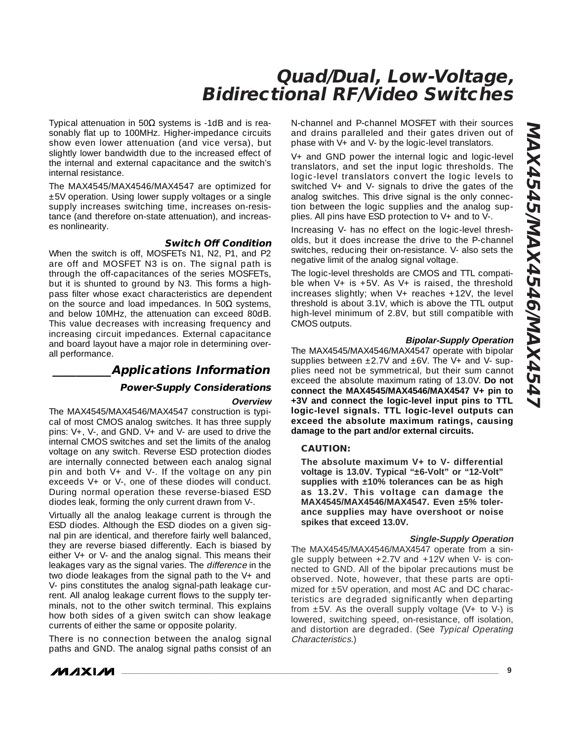Typical attenuation in 50Ω systems is -1dB and is reasonably flat up to 100MHz. Higher-impedance circuits show even lower attenuation (and vice versa), but slightly lower bandwidth due to the increased effect of the internal and external capacitance and the switch's internal resistance.

The MAX4545/MAX4546/MAX4547 are optimized for ±5V operation. Using lower supply voltages or a single supply increases switching time, increases on-resistance (and therefore on-state attenuation), and increases nonlinearity.

#### **Switch Off Condition**

When the switch is off, MOSFETs N1, N2, P1, and P2 are off and MOSFET N3 is on. The signal path is through the off-capacitances of the series MOSFETs, but it is shunted to ground by N3. This forms a highpass filter whose exact characteristics are dependent on the source and load impedances. In  $50\Omega$  systems, and below 10MHz, the attenuation can exceed 80dB. This value decreases with increasing frequency and increasing circuit impedances. External capacitance and board layout have a major role in determining overall performance.

### **\_\_\_\_\_\_\_\_\_\_Applications Information**

#### **Power-Supply Considerations**

#### **Overview**

The MAX4545/MAX4546/MAX4547 construction is typical of most CMOS analog switches. It has three supply pins:  $V_{+}$ ,  $V_{-}$ , and GND.  $V_{+}$  and  $V_{-}$  are used to drive the internal CMOS switches and set the limits of the analog voltage on any switch. Reverse ESD protection diodes are internally connected between each analog signal pin and both V+ and V-. If the voltage on any pin exceeds V+ or V-, one of these diodes will conduct. During normal operation these reverse-biased ESD diodes leak, forming the only current drawn from V-.

Virtually all the analog leakage current is through the ESD diodes. Although the ESD diodes on a given signal pin are identical, and therefore fairly well balanced, they are reverse biased differently. Each is biased by either V+ or V- and the analog signal. This means their leakages vary as the signal varies. The difference in the two diode leakages from the signal path to the V+ and V- pins constitutes the analog signal-path leakage current. All analog leakage current flows to the supply terminals, not to the other switch terminal. This explains how both sides of a given switch can show leakage currents of either the same or opposite polarity.

There is no connection between the analog signal paths and GND. The analog signal paths consist of an

*/VI/IXI/VI* 

N-channel and P-channel MOSFET with their sources and drains paralleled and their gates driven out of phase with V+ and V- by the logic-level translators.

V+ and GND power the internal logic and logic-level translators, and set the input logic thresholds. The logic-level translators convert the logic levels to switched V+ and V- signals to drive the gates of the analog switches. This drive signal is the only connection between the logic supplies and the analog supplies. All pins have ESD protection to V+ and to V-.

Increasing V- has no effect on the logic-level thresholds, but it does increase the drive to the P-channel switches, reducing their on-resistance. V- also sets the negative limit of the analog signal voltage.

The logic-level thresholds are CMOS and TTL compatible when  $V+$  is  $+5V$ . As  $V+$  is raised, the threshold increases slightly; when  $V+$  reaches  $+12V$ , the level threshold is about 3.1V, which is above the TTL output high-level minimum of 2.8V, but still compatible with CMOS outputs.

#### **Bipolar-Supply Operation**

The MAX4545/MAX4546/MAX4547 operate with bipolar supplies between  $\pm 2.7V$  and  $\pm 6V$ . The V+ and V- supplies need not be symmetrical, but their sum cannot exceed the absolute maximum rating of 13.0V. **Do not connect the MAX4545/MAX4546/MAX4547 V+ pin to +3V and connect the logic-level input pins to TTL logic-level signals. TTL logic-level outputs can exceed the absolute maximum ratings, causing damage to the part and/or external circuits.**

#### **CAUTION:**

**The absolute maximum V+ to V- differential voltage is 13.0V. Typical "±6-Volt" or "12-Volt" supplies with ±10% tolerances can be as high as 13.2V. This voltage can damage the MAX4545/MAX4546/MAX4547. Even ±5% tolerance supplies may have overshoot or noise spikes that exceed 13.0V.**

#### **Single-Supply Operation**

The MAX4545/MAX4546/MAX4547 operate from a single supply between  $+2.7V$  and  $+12V$  when V- is connected to GND. All of the bipolar precautions must be observed. Note, however, that these parts are optimized for ±5V operation, and most AC and DC characteristics are degraded significantly when departing from  $\pm 5V$ . As the overall supply voltage (V+ to V-) is lowered, switching speed, on-resistance, off isolation, and distortion are degraded. (See Typical Operating Characteristics.)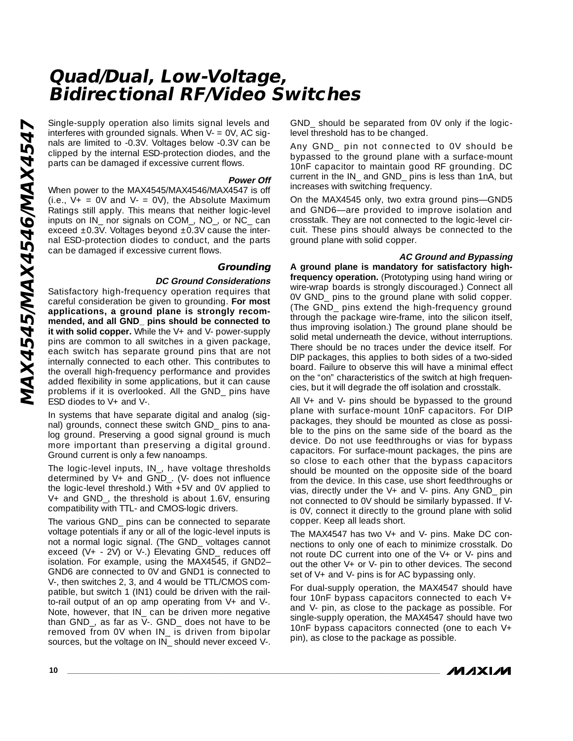interferes with grounded signals. When V- = 0V, AC sig nals are limited to -0.3V. Voltages below -0.3V can be clipped by the internal ESD-protection diodes, and the parts can be damaged if excessive current flows.

#### **Power Off**

When power to the MAX4545/MAX4546/MAX4547 is off (i.e.,  $V_+ = 0V$  and  $V_- = 0V$ ), the Absolute Maximum Ratings still apply. This means that neither logic-level inputs on IN\_ nor signals on COM\_, NO\_, or NC\_ can exceed ±0.3V. Voltages beyond ±0.3V cause the internal ESD-protection diodes to conduct, and the parts can be damaged if excessive current flows.

### **Grounding**

#### **DC Ground Considerations**

Single-supply operation also limits signal levels and<br>interferes with grounded signals. When V - 0V, AC sig-<br>nals are limited to -0.3V. Voltages below -0.3V can be<br>clipped by the internal ESD-protection diodes, and the<br>par Satisfactory high-frequency operation requires that careful consideration be given to grounding. **For most applications, a ground plane is strongly recom mended, and all GND\_ pins should be connected to** it with solid copper. While the V+ and V- power-supply pins are common to all switches in a given package, each switch has separate ground pins that are not internally connected to each other. This contributes to the overall high-frequency performance and provides added flexibility in some applications, but it can cause problems if it is overlooked. All the GND\_ pins have ESD diodes to V+ and V-.

> In systems that have separate digital and analog (sig nal) grounds, connect these switch GND\_ pins to ana log ground. Preserving a good signal ground is much more important than preserving a digital ground. Ground current is only a few nanoamps.

> The logic-level inputs, IN\_, have voltage thresholds determined by V+ and GND\_. (V- does not influence the logic-level threshold.) With +5V and 0V applied to V+ and GND\_, the threshold is about 1.6V, ensuring compatibility with TTL- and CMOS-logic drivers.

> The various GND\_ pins can be connected to separate voltage potentials if any or all of the logic-level inputs is not a normal logic signal. (The GND\_ voltages cannot exceed (V+ - 2V) or V-.) Elevating GND\_ reduces off isolation. For example, using the MAX4545, if GND2– GND6 are connected to 0V and GND1 is connected to V-, then switches 2, 3, and 4 would be TTL/CMOS com patible, but switch 1 (IN1) could be driven with the railto-rail output of an op amp operating from V+ and V-. Note, however, that IN\_ can be driven more negative than GND\_, as far as V-. GND\_ does not have to be removed from 0V when IN\_ is driven from bipolar sources, but the voltage on IN\_ should never exceed V-.

GND\_ should be separated from 0V only if the logiclevel threshold has to be changed.

Any GND\_ pin not connected to 0V should be bypassed to the ground plane with a surface-mount 10nF capacitor to maintain good RF grounding. DC current in the IN\_ and GND\_ pins is less than 1nA, but increases with switching frequency.

On the MAX4545 only, two extra ground pins—GND5 and GND6—are provided to improve isolation and crosstalk. They are not connected to the logic-level circuit. These pins should always be connected to the ground plane with solid copper.

#### **AC Ground and Bypassing**

**A ground plane is mandatory for satisfactory highfrequency operation.** (Prototyping using hand wiring or wire-wrap boards is strongly discouraged.) Connect all 0V GND\_ pins to the ground plane with solid copper. (The GND\_ pins extend the high-frequency ground through the package wire-frame, into the silicon itself, thus improving isolation.) The ground plane should be solid metal underneath the device, without interruptions. There should be no traces under the device itself. For DIP packages, this applies to both sides of a two-sided board. Failure to observe this will have a minimal effect on the "on" characteristics of the switch at high frequen cies, but it will degrade the off isolation and crosstalk.

All V+ and V- pins should be bypassed to the ground plane with surface-mount 10nF capacitors. For DIP packages, they should be mounted as close as possi ble to the pins on the same side of the board as the device. Do not use feedthroughs or vias for bypass capacitors. For surface-mount packages, the pins are so close to each other that the bypass capacitors should be mounted on the opposite side of the board from the device. In this case, use short feedthroughs or vias, directly under the  $V_+$  and  $V_-$  pins. Any GND pin not connected to 0V should be similarly bypassed. If Vis 0V, connect it directly to the ground plane with solid copper. Keep all leads short.

The MAX4547 has two V+ and V- pins. Make DC con nections to only one of each to minimize crosstalk. Do not route DC current into one of the V+ or V- pins and out the other V+ or V- pin to other devices. The second set of V+ and V- pins is for AC bypassing only.

For dual-supply operation, the MAX4547 should have four 10nF bypass capacitors connected to each V+ and V- pin, as close to the package as possible. For single-supply operation, the MAX4547 should have two 10nF bypass capacitors connected (one to each V+ pin), as close to the package as possible.

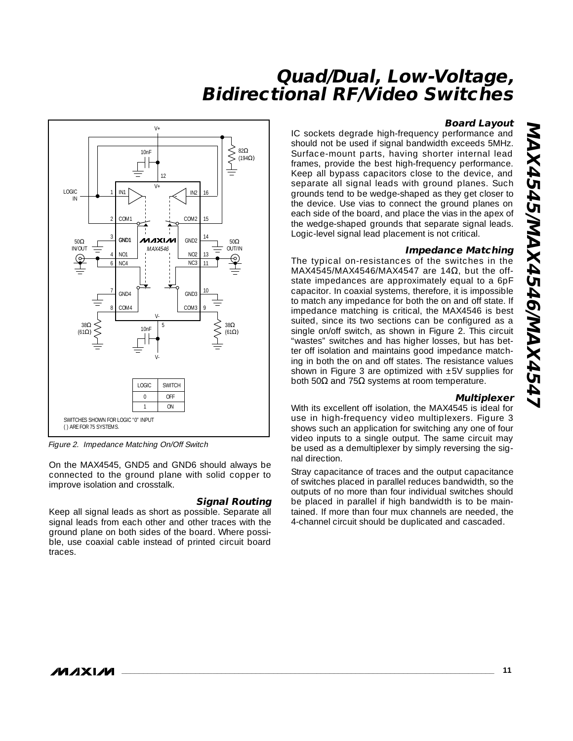#### **Board Layout**

IC sockets degrade high-frequency performance and should not be used if signal bandwidth exceeds 5MHz. Surface-mount parts, having shorter internal lead frames, provide the best high-frequency performance. Keep all bypass capacitors close to the device, and separate all signal leads with ground planes. Such grounds tend to be wedge-shaped as they get closer to the device. Use vias to connect the ground planes on each side of the board, and place the vias in the apex of the wedge-shaped grounds that separate signal leads. Logic-level signal lead placement is not critical.

#### **Impedance Matching**

The typical on-resistances of the switches in the MAX4545/MAX4546/MAX4547 are 14 $\Omega$ , but the offstate impedances are approximately equal to a 6pF capacitor. In coaxial systems, therefore, it is impossible to match any impedance for both the on and off state. If impedance matching is critical, the MAX4546 is best suited, since its two sections can be configured as a single on/off switch, as shown in Figure 2. This circuit "wastes" switches and has higher losses, but has better off isolation and maintains good impedance matching in both the on and off states. The resistance values shown in Figure 3 are optimized with ±5V supplies for both 50 $\Omega$  and 75 $\Omega$  systems at room temperature.

#### **Multiplexer**

With its excellent off isolation, the MAX4545 is ideal for use in high-frequency video multiplexers. Figure 3 shows such an application for switching any one of four video inputs to a single output. The same circuit may be used as a demultiplexer by simply reversing the sig nal direction.

Stray capacitance of traces and the output capacitance of switches placed in parallel reduces bandwidth, so the outputs of no more than four individual switches should be placed in parallel if high bandwidth is to be main tained. If more than four mux channels are needed, the 4-channel circuit should be duplicated and cascaded.



Figure 2. Impedance Matching On/Off Switch

On the MAX4545, GND5 and GND6 should always be connected to the ground plane with solid copper to improve isolation and crosstalk.

### **Signal Routing**

Keep all signal leads as short as possible. Separate all signal leads from each other and other traces with the ground plane on both sides of the board. Where possi ble, use coaxial cable instead of printed circuit board traces.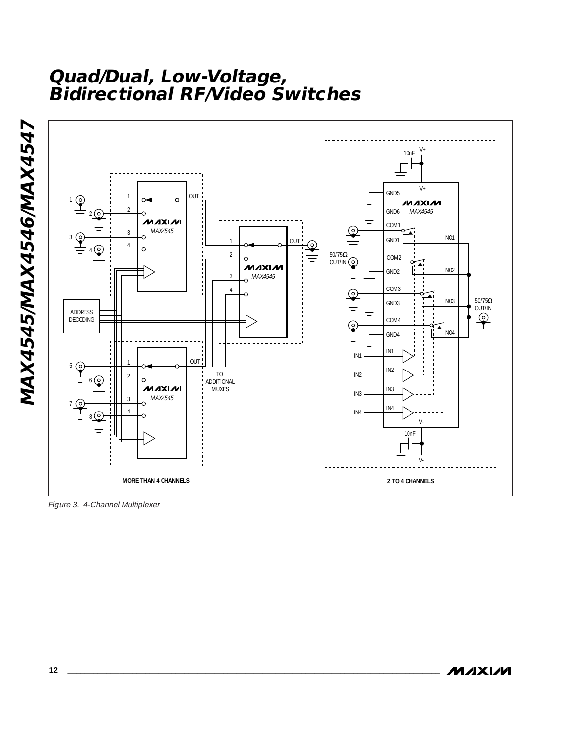

Figure 3. 4-Channel Multiplexer

MAX4545/MAX4546/MAX4547 **MAX4545/MAX4546/MAX4547**

**MAXM**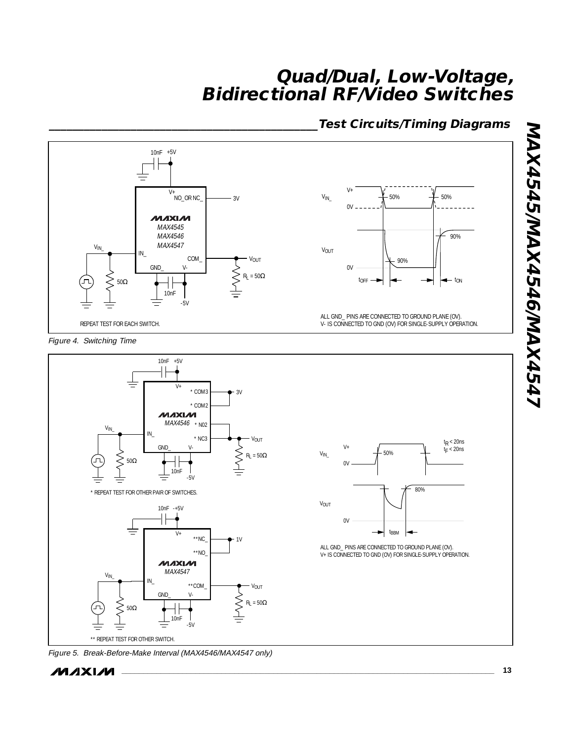### **\_\_\_\_\_\_\_\_\_\_\_\_\_\_\_\_\_\_\_\_\_\_\_\_\_\_\_\_\_\_\_\_\_\_\_\_\_\_\_\_\_\_\_\_\_\_Test Circuits/Timing Diagrams**



 $V_{IN\_}$ 

VOUT

Figure 4. Switching Time





$$
\boldsymbol{M} \boldsymbol{\mathsf{J}} \boldsymbol{\mathsf{X}} \boldsymbol{\mathsf{I}} \boldsymbol{\mathsf{M}}
$$



ALL GND\_ PINS ARE CONNECTED TO GROUND PLANE (OV). V+ IS CONNECTED TO GND (OV) FOR SINGLE-SUPPLY OPERATION.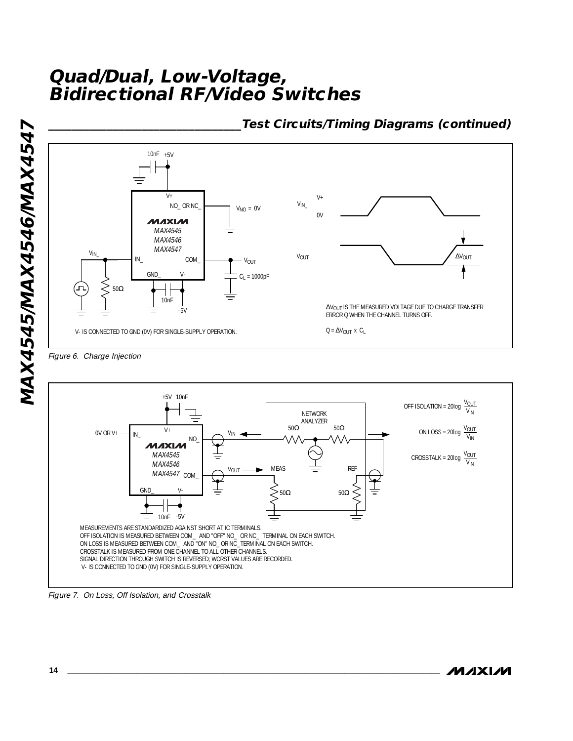

**\_\_\_\_\_\_\_\_\_\_\_\_\_\_\_\_\_\_\_\_\_\_\_\_\_\_\_\_\_\_\_\_\_Test Circuits/Timing Diagrams (continued)**

Figure 7. On Loss, Off Isolation, and Crosstalk

**MAXIM**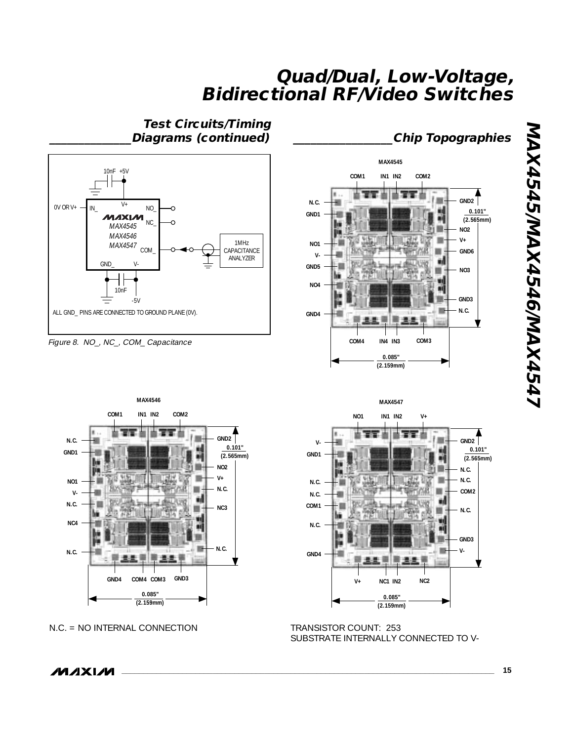**Test Circuits/Timing \_\_\_\_\_\_\_\_\_\_\_\_\_\_Diagrams (continued)**



Figure 8. NO\_, NC\_, COM\_ Capacitance



**NO1 IN1 IN2** 







**N.C.**

**GND1 V-**

SUBSTRATE INTERNALLY CONNECTED TO V-

**MAXIM** 

**GND2**

**\_\_\_\_\_\_\_\_\_\_\_\_\_\_\_\_\_Chip Topographies**

**N.C. N.C.**

в

**0.101" (2.565mm)**